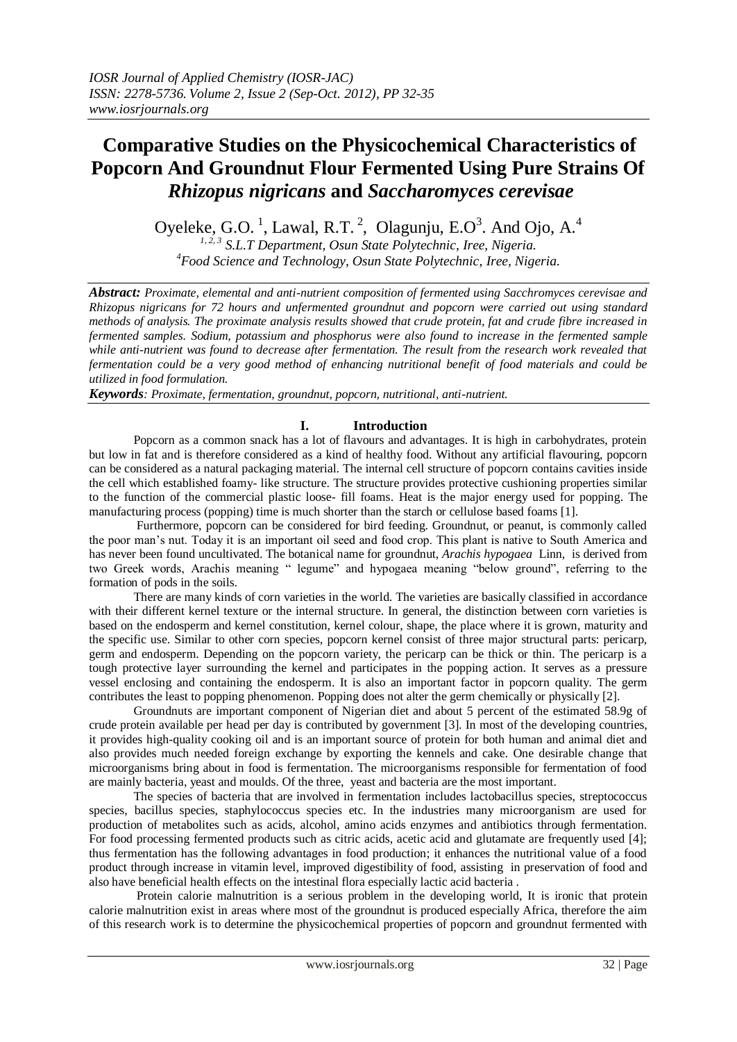# **Comparative Studies on the Physicochemical Characteristics of Popcorn And Groundnut Flour Fermented Using Pure Strains Of** *Rhizopus nigricans* **and** *Saccharomyces cerevisae*

Oyeleke, G.O.<sup>1</sup>, Lawal, R.T.<sup>2</sup>, Olagunju, E.O<sup>3</sup>. And Ojo, A.<sup>4</sup>

*1, 2, 3 S.L.T Department, Osun State Polytechnic, Iree, Nigeria. <sup>4</sup>Food Science and Technology, Osun State Polytechnic, Iree, Nigeria*.

*Abstract: Proximate, elemental and anti-nutrient composition of fermented using Sacchromyces cerevisae and Rhizopus nigricans for 72 hours and unfermented groundnut and popcorn were carried out using standard methods of analysis. The proximate analysis results showed that crude protein, fat and crude fibre increased in fermented samples. Sodium, potassium and phosphorus were also found to increase in the fermented sample*  while anti-nutrient was found to decrease after fermentation. The result from the research work revealed that *fermentation could be a very good method of enhancing nutritional benefit of food materials and could be utilized in food formulation.*

*Keywords: Proximate, fermentation, groundnut, popcorn, nutritional, anti-nutrient.*

# **I. Introduction**

Popcorn as a common snack has a lot of flavours and advantages. It is high in carbohydrates, protein but low in fat and is therefore considered as a kind of healthy food. Without any artificial flavouring, popcorn can be considered as a natural packaging material. The internal cell structure of popcorn contains cavities inside the cell which established foamy- like structure. The structure provides protective cushioning properties similar to the function of the commercial plastic loose- fill foams. Heat is the major energy used for popping. The manufacturing process (popping) time is much shorter than the starch or cellulose based foams [1].

 Furthermore, popcorn can be considered for bird feeding. Groundnut, or peanut, is commonly called the poor man's nut. Today it is an important oil seed and food crop. This plant is native to South America and has never been found uncultivated. The botanical name for groundnut, *Arachis hypogaea* Linn, is derived from two Greek words, Arachis meaning " legume" and hypogaea meaning "below ground", referring to the formation of pods in the soils.

 There are many kinds of corn varieties in the world. The varieties are basically classified in accordance with their different kernel texture or the internal structure. In general, the distinction between corn varieties is based on the endosperm and kernel constitution, kernel colour, shape, the place where it is grown, maturity and the specific use. Similar to other corn species, popcorn kernel consist of three major structural parts: pericarp, germ and endosperm. Depending on the popcorn variety, the pericarp can be thick or thin. The pericarp is a tough protective layer surrounding the kernel and participates in the popping action. It serves as a pressure vessel enclosing and containing the endosperm. It is also an important factor in popcorn quality. The germ contributes the least to popping phenomenon. Popping does not alter the germ chemically or physically [2].

 Groundnuts are important component of Nigerian diet and about 5 percent of the estimated 58.9g of crude protein available per head per day is contributed by government [3]. In most of the developing countries, it provides high-quality cooking oil and is an important source of protein for both human and animal diet and also provides much needed foreign exchange by exporting the kennels and cake. One desirable change that microorganisms bring about in food is fermentation. The microorganisms responsible for fermentation of food are mainly bacteria, yeast and moulds. Of the three, yeast and bacteria are the most important.

 The species of bacteria that are involved in fermentation includes lactobacillus species, streptococcus species, bacillus species, staphylococcus species etc. In the industries many microorganism are used for production of metabolites such as acids, alcohol, amino acids enzymes and antibiotics through fermentation. For food processing fermented products such as citric acids, acetic acid and glutamate are frequently used [4]; thus fermentation has the following advantages in food production; it enhances the nutritional value of a food product through increase in vitamin level, improved digestibility of food, assisting in preservation of food and also have beneficial health effects on the intestinal flora especially lactic acid bacteria .

Protein calorie malnutrition is a serious problem in the developing world, It is ironic that protein calorie malnutrition exist in areas where most of the groundnut is produced especially Africa, therefore the aim of this research work is to determine the physicochemical properties of popcorn and groundnut fermented with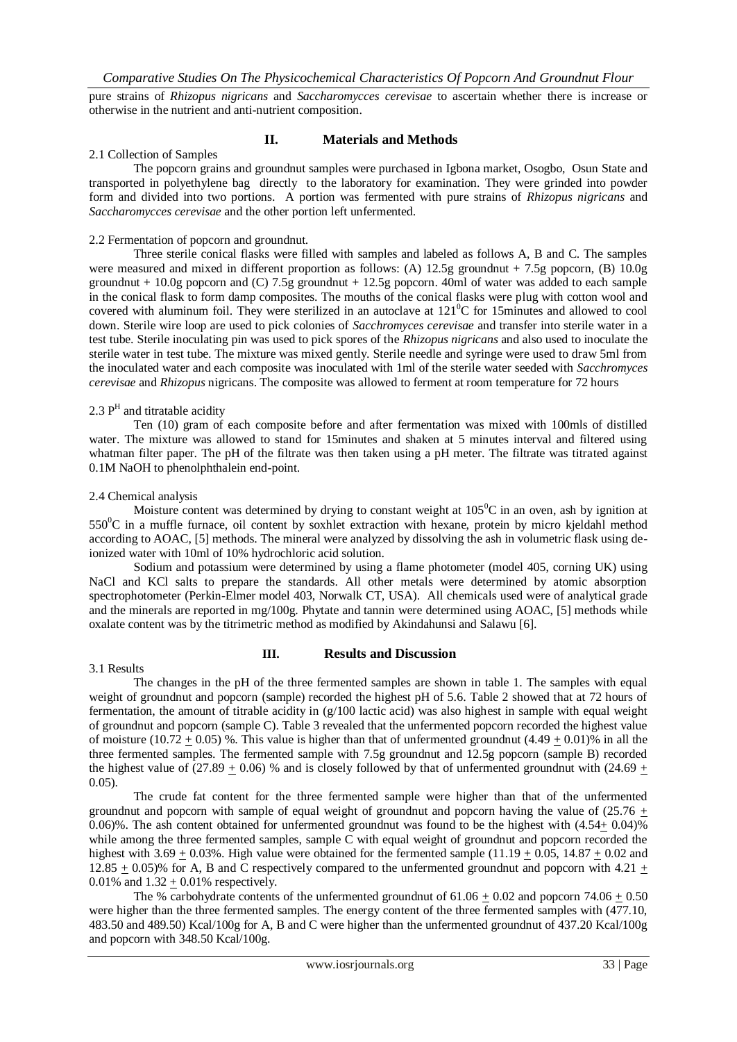pure strains of *Rhizopus nigricans* and *Saccharomycces cerevisae* to ascertain whether there is increase or otherwise in the nutrient and anti-nutrient composition.

# **II. Materials and Methods**

# 2.1 Collection of Samples

The popcorn grains and groundnut samples were purchased in Igbona market, Osogbo, Osun State and transported in polyethylene bag directly to the laboratory for examination. They were grinded into powder form and divided into two portions. A portion was fermented with pure strains of *Rhizopus nigricans* and *Saccharomycces cerevisae* and the other portion left unfermented.

### 2.2 Fermentation of popcorn and groundnut.

Three sterile conical flasks were filled with samples and labeled as follows A, B and C. The samples were measured and mixed in different proportion as follows: (A) 12.5g groundnut + 7.5g popcorn, (B) 10.0g groundnut + 10.0g popcorn and (C) 7.5g groundnut + 12.5g popcorn. 40ml of water was added to each sample in the conical flask to form damp composites. The mouths of the conical flasks were plug with cotton wool and covered with aluminum foil. They were sterilized in an autoclave at  $121^0C$  for 15minutes and allowed to cool down. Sterile wire loop are used to pick colonies of *Sacchromyces cerevisae* and transfer into sterile water in a test tube. Sterile inoculating pin was used to pick spores of the *Rhizopus nigricans* and also used to inoculate the sterile water in test tube. The mixture was mixed gently. Sterile needle and syringe were used to draw 5ml from the inoculated water and each composite was inoculated with 1ml of the sterile water seeded with *Sacchromyces cerevisae* and *Rhizopus* nigricans. The composite was allowed to ferment at room temperature for 72 hours

# 2.3  $P<sup>H</sup>$  and titratable acidity

Ten (10) gram of each composite before and after fermentation was mixed with 100mls of distilled water. The mixture was allowed to stand for 15minutes and shaken at 5 minutes interval and filtered using whatman filter paper. The pH of the filtrate was then taken using a pH meter. The filtrate was titrated against 0.1M NaOH to phenolphthalein end-point.

#### 2.4 Chemical analysis

Moisture content was determined by drying to constant weight at  $105^{\circ}$ C in an oven, ash by ignition at  $550\textdegree$ C in a muffle furnace, oil content by soxhlet extraction with hexane, protein by micro kieldahl method according to AOAC, [5] methods. The mineral were analyzed by dissolving the ash in volumetric flask using deionized water with 10ml of 10% hydrochloric acid solution.

 Sodium and potassium were determined by using a flame photometer (model 405, corning UK) using NaCl and KCl salts to prepare the standards. All other metals were determined by atomic absorption spectrophotometer (Perkin-Elmer model 403, Norwalk CT, USA). All chemicals used were of analytical grade and the minerals are reported in mg/100g. Phytate and tannin were determined using AOAC, [5] methods while oxalate content was by the titrimetric method as modified by Akindahunsi and Salawu [6].

#### 3.1 Results

# **III. Results and Discussion**

The changes in the pH of the three fermented samples are shown in table 1. The samples with equal weight of groundnut and popcorn (sample) recorded the highest pH of 5.6. Table 2 showed that at 72 hours of fermentation, the amount of titrable acidity in  $(g/100)$  lactic acid) was also highest in sample with equal weight of groundnut and popcorn (sample C). Table 3 revealed that the unfermented popcorn recorded the highest value of moisture (10.72 + 0.05) %. This value is higher than that of unfermented groundnut  $(4.49 + 0.01)$ % in all the three fermented samples. The fermented sample with 7.5g groundnut and 12.5g popcorn (sample B) recorded the highest value of  $(27.89 + 0.06)$  % and is closely followed by that of unfermented groundnut with  $(24.69 +$ 0.05).

 The crude fat content for the three fermented sample were higher than that of the unfermented groundnut and popcorn with sample of equal weight of groundnut and popcorn having the value of  $(25.76 +$ 0.06)%. The ash content obtained for unfermented groundnut was found to be the highest with  $(4.54 \pm 0.04)$ % while among the three fermented samples, sample C with equal weight of groundnut and popcorn recorded the highest with  $3.69 + 0.03\%$ . High value were obtained for the fermented sample  $(11.19 + 0.05, 14.87 + 0.02$  and  $12.85 + 0.05\%$  for A, B and C respectively compared to the unfermented groundnut and popcorn with 4.21 + 0.01% and  $1.32 + 0.01$ % respectively.

The % carbohydrate contents of the unfermented groundnut of  $61.06 + 0.02$  and popcorn  $74.06 + 0.50$ were higher than the three fermented samples. The energy content of the three fermented samples with (477.10, 483.50 and 489.50) Kcal/100g for A, B and C were higher than the unfermented groundnut of 437.20 Kcal/100g and popcorn with 348.50 Kcal/100g.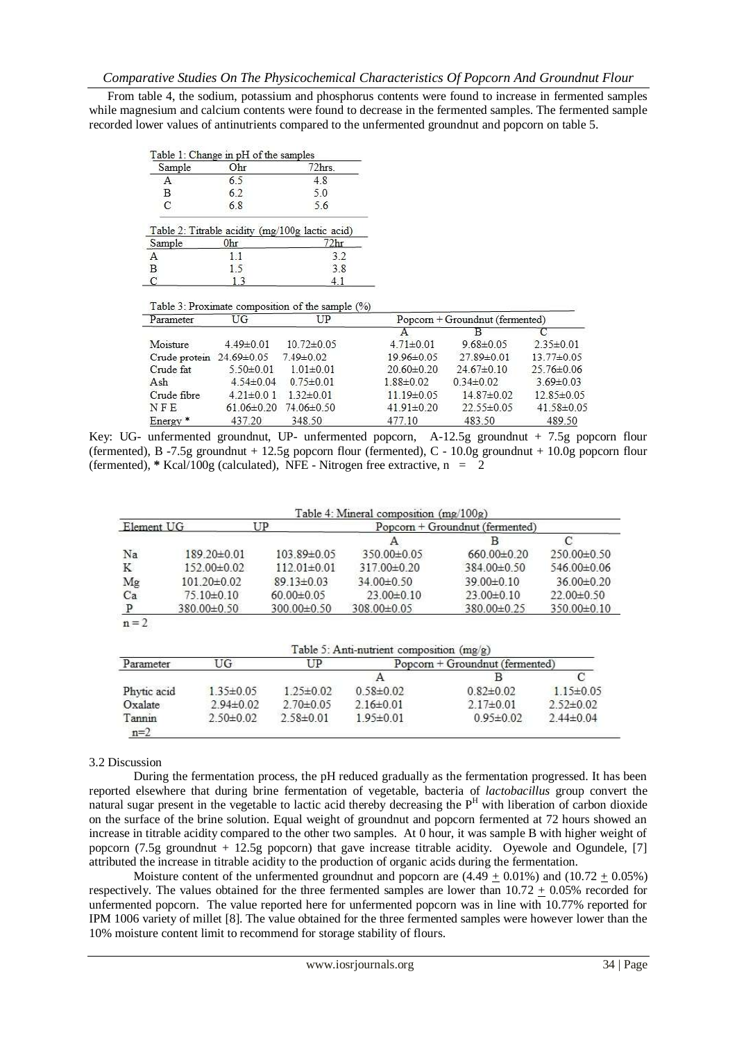From table 4, the sodium, potassium and phosphorus contents were found to increase in fermented samples while magnesium and calcium contents were found to decrease in the fermented samples. The fermented sample recorded lower values of antinutrients compared to the unfermented groundnut and popcorn on table 5.

|                     | Table 1: Change in pH of the samples |                                                           |                  |                                   |                  |
|---------------------|--------------------------------------|-----------------------------------------------------------|------------------|-----------------------------------|------------------|
| Sample              | Ohr                                  | 72hrs.                                                    |                  |                                   |                  |
| Α                   | 6.5                                  | 4.8                                                       |                  |                                   |                  |
| В                   | 6.2                                  | 5.0                                                       |                  |                                   |                  |
| C                   | 6.8                                  | 5.6                                                       |                  |                                   |                  |
|                     |                                      | Table 2: Titrable acidity (mg/100g lactic acid)           |                  |                                   |                  |
| Sample              | Ohr                                  | 72hr                                                      |                  |                                   |                  |
| Α                   | 1.1                                  | 3.2                                                       |                  |                                   |                  |
| $\overline{B}$      | 1.5                                  | 3.8                                                       |                  |                                   |                  |
| C                   | 13                                   | 4.1                                                       |                  |                                   |                  |
| Parameter           | UG                                   | Table 3: Proximate composition of the sample $(\%)$<br>UP |                  | $Popcorn + Groundnut (fermented)$ |                  |
|                     |                                      |                                                           | А                | В                                 |                  |
| Moisture            | 4.49±0.01                            | $10.72 \pm 0.05$                                          | $4.71 \pm 0.01$  | $9.68 \pm 0.05$                   | $2.35 \pm 0.01$  |
| Crude protein       | $24.69 \pm 0.05$                     | $7.49\pm0.02$                                             | 19 96 ± 0.05     | 27 89 ± 0.01                      | 13.77±0.05       |
| Crude fat           | $5.50 \pm 0.01$                      | $1.01 \pm 0.01$                                           | $20.60 \pm 0.20$ | $24.67 \pm 0.10$                  | 25.76±0.06       |
| Ash                 | $4.54\pm0.04$                        | $0.75 \pm 0.01$                                           | $1.88 \pm 0.02$  | $0.34\pm0.02$                     | $3.69 \pm 0.03$  |
| Crude fibre         | $4.21\pm0.01$                        | $1.32 \pm 0.01$                                           | $11.19\pm0.05$   | $14.87\pm0.02$                    | $12.85 \pm 0.05$ |
| NFE                 | $61.06 \pm 0.20$                     | 74.06±0.50                                                | $41.91 \pm 0.20$ | 22.55±0.05                        | 41.58±0.05       |
| Energy <sup>*</sup> | 437.20                               | 348.50                                                    | 477.10           | 483.50                            | 489.50           |

Key: UG- unfermented groundnut, UP- unfermented popcorn, A-12.5g groundnut + 7.5g popcorn flour (fermented), B -7.5g groundnut + 12.5g popcorn flour (fermented), C - 10.0g groundnut + 10.0g popcorn flour (fermented),  $*$  Kcal/100g (calculated), NFE - Nitrogen free extractive,  $n = 2$ 

|            |                |                   | Table 4: Mineral composition $(mg/100g)$ |                   |             |
|------------|----------------|-------------------|------------------------------------------|-------------------|-------------|
| Element UG |                | UP                | $Popcorn + Groundnut (fermented)$        |                   |             |
|            |                |                   |                                          |                   |             |
| Na         | 189.20±0.01    | 103.89±0.05       | 350.00±0.05                              | $660.00 \pm 0.20$ | 250.00±0.50 |
| K          | 152.00±0.02    | $112.01 \pm 0.01$ | 317.00±0.20                              | 384.00±0.50       | 546.00±0.06 |
| Mg         | 101.20±0.02    | $89.13 \pm 0.03$  | 34.00±0.50                               | 39.00±0.10        | 36.00±0.20  |
| Ca         | $75.10\pm0.10$ | $60.00 \pm 0.05$  | $23.00 \pm 0.10$                         | $23.00 \pm 0.10$  | 22.00±0.50  |
| P          | 380.00±0.50    | 300.00±0.50       | 308.00±0.05                              | 380.00±0.25       | 350.00±0.10 |
| $m-2$      |                |                   |                                          |                   |             |

Table 5: Anti-nutrient composition (mg/g)

| Parameter       | UG              | UP            | Popcorn + Groundnut (fermented) |                 |               |  |  |
|-----------------|-----------------|---------------|---------------------------------|-----------------|---------------|--|--|
|                 |                 |               |                                 |                 |               |  |  |
| Phytic acid     | $135\pm0.05$    | $125\pm0.02$  | $0.58 \pm 0.02$                 | $0.82\pm0.02$   | $115\pm0.05$  |  |  |
| Oxalate         | $2.94\pm0.02$   | $2.70\pm0.05$ | $2.16\pm0.01$                   | $2.17\pm0.01$   | $2.52\pm0.02$ |  |  |
| Tannin<br>$n=2$ | $2.50 \pm 0.02$ | 2.58±0.01     | $1.95 \pm 0.01$                 | $0.95 \pm 0.02$ | $2.44\pm0.04$ |  |  |

# 3.2 Discussion

During the fermentation process, the pH reduced gradually as the fermentation progressed. It has been reported elsewhere that during brine fermentation of vegetable, bacteria of *lactobacillus* group convert the natural sugar present in the vegetable to lactic acid thereby decreasing the  $P<sup>H</sup>$  with liberation of carbon dioxide on the surface of the brine solution. Equal weight of groundnut and popcorn fermented at 72 hours showed an increase in titrable acidity compared to the other two samples. At 0 hour, it was sample B with higher weight of popcorn (7.5g groundnut + 12.5g popcorn) that gave increase titrable acidity. Oyewole and Ogundele, [7] attributed the increase in titrable acidity to the production of organic acids during the fermentation.

Moisture content of the unfermented groundnut and popcorn are  $(4.49 \pm 0.01\%)$  and  $(10.72 \pm 0.05\%)$ respectively. The values obtained for the three fermented samples are lower than  $10.72 \pm 0.05\%$  recorded for unfermented popcorn. The value reported here for unfermented popcorn was in line with 10.77% reported for IPM 1006 variety of millet [8]. The value obtained for the three fermented samples were however lower than the 10% moisture content limit to recommend for storage stability of flours.